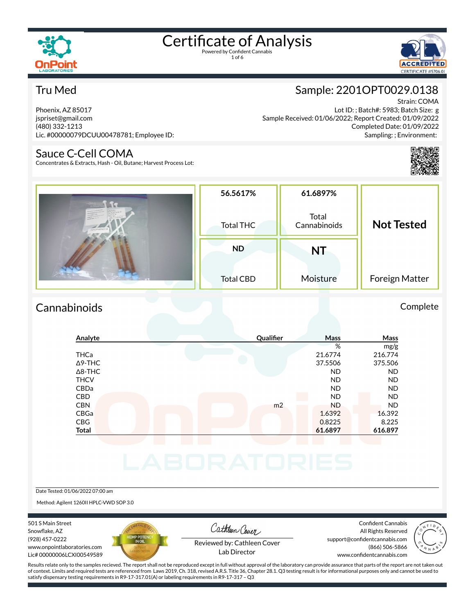

1 of 6



# Tru Med

Phoenix, AZ 85017 jspriset@gmail.com (480) 332-1213 Lic. #00000079DCUU00478781; Employee ID:

### Sauce C-Cell COMA

Concentrates & Extracts, Hash - Oil, Butane; Harvest Process Lot:

# Sample: 2201OPT0029.0138

Strain: COMA Lot ID: ; Batch#: 5983; Batch Size: g Sample Received: 01/06/2022; Report Created: 01/09/2022 Completed Date: 01/09/2022 Sampling: ; Environment:



| 22010/010029.0138 | 56.5617%<br>Total THC | 61.6897%<br>Total<br>Cannabinoids | <b>Not Tested</b> |  |
|-------------------|-----------------------|-----------------------------------|-------------------|--|
|                   | <b>ND</b>             | <b>NT</b>                         |                   |  |
|                   | <b>Total CBD</b>      | Moisture                          | Foreign Matter    |  |

# Cannabinoids Complete

# **Analyte Qualier Mass Mass** % mg/g THCa 21.6774 216.774 Δ9-THC 37.5506 375.506 Δ8-THC ND ND THCV ND ND CBDa ND ND CBD A RESIDENCE OF A RESIDENCE OF A RESIDENCE OF A RESIDENCE OF A RESIDENCE OF A RESIDENCE OF A RESIDENCE OF A CBN m2 ND ND CBGa 1.6392 16.392 CBG 0.8225 8.225 **Total 61.6897 616.897**

Date Tested: 01/06/2022 07:00 am

Method: Agilent 1260II HPLC-VWD SOP 3.0

501 S Main Street Snowflake, AZ (928) 457-0222 www.onpointlaboratories.com Lic# 00000006LCXI00549589



Cathleen Cover

Confident Cannabis All Rights Reserved support@confidentcannabis.com (866) 506-5866



Reviewed by: Cathleen Cover Lab Director

www.confidentcannabis.com

Results relate only to the samples recieved. The report shall not be reproduced except in full without approval of the laboratory can provide assurance that parts of the report are not taken out of context. Limits and required tests are referenced from Laws 2019, Ch. 318, revised A.R.S. Title 36, Chapter 28.1. Q3 testing result is for informational purposes only and cannot be used to satisfy dispensary testing requirements in R9-17-317.01(A) or labeling requirements in R9-17-317 – Q3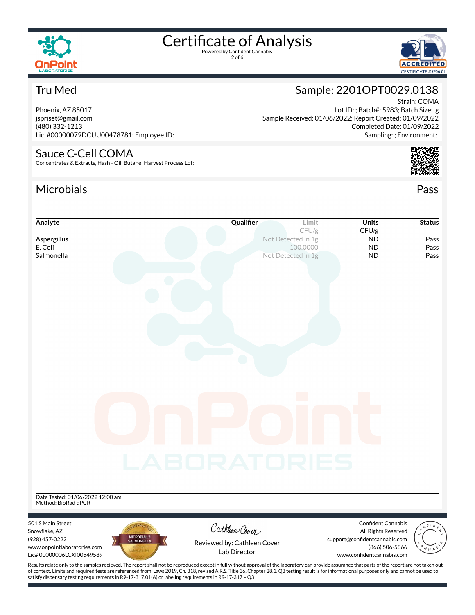

2 of 6



Sample: 2201OPT0029.0138

Sample Received: 01/06/2022; Report Created: 01/09/2022

Lot ID: ; Batch#: 5983; Batch Size: g

# Tru Med

Phoenix, AZ 85017 jspriset@gmail.com (480) 332-1213 Lic. #00000079DCUU00478781; Employee ID:

### Sauce C-Cell COMA

Concentrates & Extracts, Hash - Oil, Butane; Harvest Process Lot:

# Microbials Pass



Strain: COMA

# **Analyte Cualifier Limit Status Cualifier Limit Units Status** CFU/g CFU/g **Aspergillus Not Detected in 1g ND Pass** E. Coli 100.0000 ND Pass **Salmonella** Not Detected in 1g **ND** Pass Date Tested: 01/06/2022 12:00 am Method: BioRad qPCR 501 S Main Street Confident Cannabis Cathleen Cover Snowflake, AZ All Rights Reserved (928) 457-0222 support@confidentcannabis.com Reviewed by: Cathleen Cover www.onpointlaboratories.com (866) 506-5866 Lab DirectorLic# 00000006LCXI00549589 www.confidentcannabis.com Results relate only to the samples recieved. The report shall not be reproduced except in full without approval of the laboratory can provide assurance that parts of the report are not taken out

of context. Limits and required tests are referenced from Laws 2019, Ch. 318, revised A.R.S. Title 36, Chapter 28.1. Q3 testing result is for informational purposes only and cannot be used to satisfy dispensary testing requirements in R9-17-317.01(A) or labeling requirements in R9-17-317 – Q3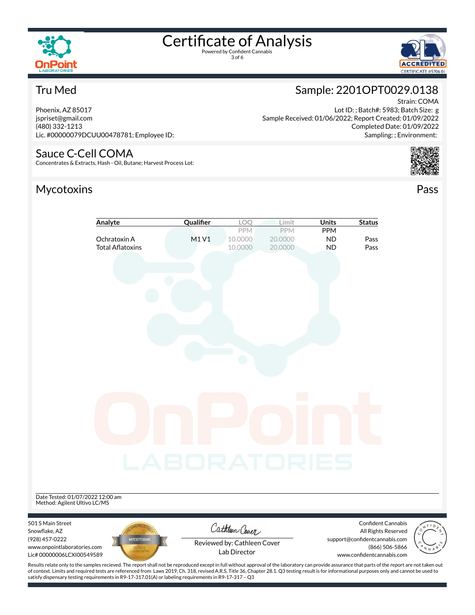

3 of 6



# Tru Med

Phoenix, AZ 85017 jspriset@gmail.com (480) 332-1213 Lic. #00000079DCUU00478781; Employee ID:

### Sauce C-Cell COMA

Concentrates & Extracts, Hash - Oil, Butane; Harvest Process Lot:

# Mycotoxins Pass

#### Sample: 2201OPT0029.0138 Strain: COMA

Lot ID: ; Batch#: 5983; Batch Size: g Sample Received: 01/06/2022; Report Created: 01/09/2022 Completed Date: 01/09/2022 Sampling: ; Environment:



|                                  | Analyte                 | Qualifier    | LOQ                         | Limit   | <b>Units</b> | <b>Status</b>                 |                                   |
|----------------------------------|-------------------------|--------------|-----------------------------|---------|--------------|-------------------------------|-----------------------------------|
|                                  |                         |              | PPM                         | PPM     | <b>PPM</b>   |                               |                                   |
|                                  | Ochratoxin A            | M1V1         | 10.0000                     | 20.0000 | <b>ND</b>    | Pass                          |                                   |
|                                  | <b>Total Aflatoxins</b> |              | 10.0000                     | 20.0000 | <b>ND</b>    | Pass                          |                                   |
|                                  |                         |              |                             |         |              |                               |                                   |
|                                  |                         |              |                             |         |              |                               |                                   |
|                                  |                         |              |                             |         |              |                               |                                   |
|                                  |                         |              |                             |         |              |                               |                                   |
|                                  |                         |              |                             |         |              |                               |                                   |
|                                  |                         |              |                             |         |              |                               |                                   |
|                                  |                         |              |                             |         |              |                               |                                   |
|                                  |                         |              |                             |         |              |                               |                                   |
|                                  |                         |              |                             |         |              |                               |                                   |
|                                  |                         |              |                             |         |              |                               |                                   |
|                                  |                         |              |                             |         |              |                               |                                   |
|                                  |                         |              |                             |         |              |                               |                                   |
|                                  |                         |              |                             |         |              |                               |                                   |
|                                  |                         |              |                             |         |              |                               |                                   |
|                                  |                         |              |                             |         |              |                               |                                   |
|                                  |                         |              |                             |         |              |                               |                                   |
|                                  |                         |              |                             |         |              |                               |                                   |
|                                  |                         |              |                             |         |              |                               |                                   |
|                                  |                         |              |                             |         |              |                               |                                   |
|                                  |                         |              |                             |         |              |                               |                                   |
|                                  |                         |              |                             |         |              |                               |                                   |
|                                  |                         |              |                             |         |              |                               |                                   |
|                                  |                         |              |                             |         |              |                               |                                   |
|                                  |                         | LABORATORIES |                             |         |              |                               |                                   |
|                                  |                         |              |                             |         |              |                               |                                   |
|                                  |                         |              |                             |         |              |                               |                                   |
|                                  |                         |              |                             |         |              |                               |                                   |
| Date Tested: 01/07/2022 12:00 am |                         |              |                             |         |              |                               |                                   |
| Method: Agilent Ultivo LC/MS     |                         |              |                             |         |              |                               |                                   |
|                                  |                         |              |                             |         |              |                               |                                   |
| 501 S Main Street                |                         |              |                             |         |              | <b>Confident Cannabis</b>     | $\overbrace{\circ^{\pi}}^{\circ}$ |
| Snowflake, AZ                    |                         |              | Cathleen Cover              |         |              | All Rights Reserved           |                                   |
| (928) 457-0222                   | <b>MYCOTOXINS</b>       |              | Reviewed by: Cathleen Cover |         |              | support@confidentcannabis.com |                                   |
| www.onpointlaboratories.com      |                         |              | Lab Director                |         |              | (866) 506-5866                |                                   |
| Lic# 00000006LCXI00549589        |                         |              |                             |         |              | www.confidentcannabis.com     |                                   |



Results relate only to the samples recieved. The report shall not be reproduced except in full without approval of the laboratory can provide assurance that parts of the report are not taken out of context. Limits and required tests are referenced from Laws 2019, Ch. 318, revised A.R.S. Title 36, Chapter 28.1. Q3 testing result is for informational purposes only and cannot be used to satisfy dispensary testing requirements in R9-17-317.01(A) or labeling requirements in R9-17-317 – Q3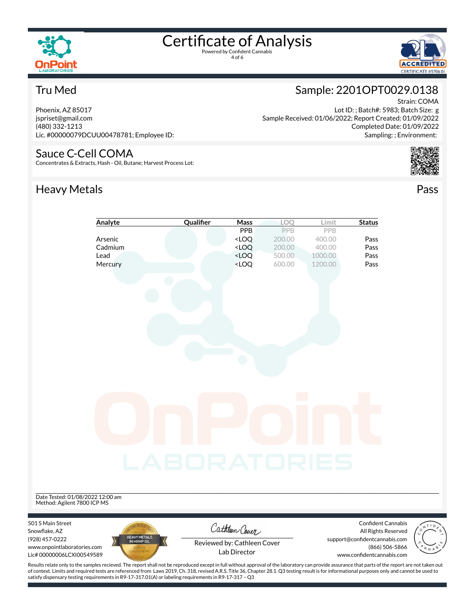

4 of 6



Strain: COMA

## Tru Med

Phoenix, AZ 85017 jspriset@gmail.com (480) 332-1213 Lic. #00000079DCUU00478781; Employee ID:

#### Sauce C-Cell COMA

Concentrates & Extracts, Hash - Oil, Butane; Harvest Process Lot:

# Heavy Metals **Pass**

#### Lot ID: ; Batch#: 5983; Batch Size: g Sample Received: 01/06/2022; Report Created: 01/09/2022 Completed Date: 01/09/2022

Sample: 2201OPT0029.0138

Sampling: ; Environment:





Results relate only to the samples recieved. The report shall not be reproduced except in full without approval of the laboratory can provide assurance that parts of the report are not taken out of context. Limits and required tests are referenced from Laws 2019, Ch. 318, revised A.R.S. Title 36, Chapter 28.1. Q3 testing result is for informational purposes only and cannot be used to satisfy dispensary testing requirements in R9-17-317.01(A) or labeling requirements in R9-17-317 – Q3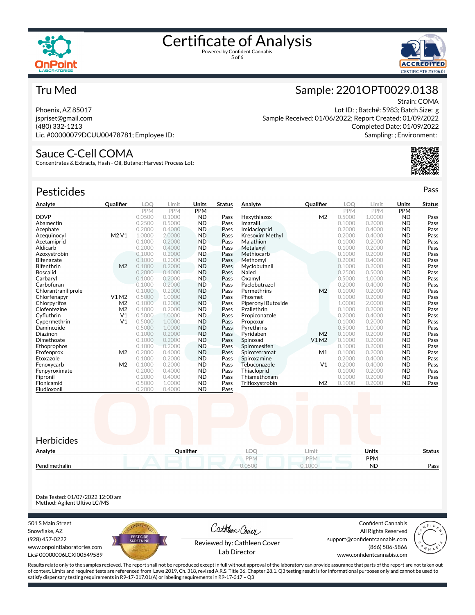



### Tru Med

Phoenix, AZ 85017 jspriset@gmail.com (480) 332-1213 Lic. #00000079DCUU00478781; Employee ID:

### Sauce C-Cell COMA

Concentrates & Extracts, Hash - Oil, Butane; Harvest Process Lot:

| <b>Pesticides</b>   |                  |            |            |            |               |                        |                  |            |            |            | Pass          |
|---------------------|------------------|------------|------------|------------|---------------|------------------------|------------------|------------|------------|------------|---------------|
| Analyte             | <b>Qualifier</b> | <b>LOO</b> | Limit      | Units      | <b>Status</b> | Analyte                | <b>Qualifier</b> | LOO        | Limit      | Units      | <b>Status</b> |
|                     |                  | <b>PPM</b> | <b>PPM</b> | <b>PPM</b> |               |                        |                  | <b>PPM</b> | <b>PPM</b> | <b>PPM</b> |               |
| <b>DDVP</b>         |                  | 0.0500     | 0.1000     | <b>ND</b>  | Pass          | Hexythiazox            | M <sub>2</sub>   | 0.5000     | 1.0000     | <b>ND</b>  | Pass          |
| Abamectin           |                  | 0.2500     | 0.5000     | <b>ND</b>  | Pass          | Imazalil               |                  | 0.1000     | 0.2000     | <b>ND</b>  | Pass          |
| Acephate            |                  | 0.2000     | 0.4000     | <b>ND</b>  | Pass          | Imidacloprid           |                  | 0.2000     | 0.4000     | <b>ND</b>  | Pass          |
| Acequinocyl         | M2V1             | 1.0000     | 2.0000     | <b>ND</b>  | Pass          | <b>Kresoxim Methyl</b> |                  | 0.2000     | 0.4000     | <b>ND</b>  | Pass          |
| Acetamiprid         |                  | 0.1000     | 0.2000     | <b>ND</b>  | Pass          | Malathion              |                  | 0.1000     | 0.2000     | <b>ND</b>  | Pass          |
| Aldicarb            |                  | 0.2000     | 0.4000     | <b>ND</b>  | Pass          | Metalaxyl              |                  | 0.1000     | 0.2000     | <b>ND</b>  | Pass          |
| Azoxystrobin        |                  | 0.1000     | 0.2000     | <b>ND</b>  | Pass          | Methiocarb             |                  | 0.1000     | 0.2000     | <b>ND</b>  | Pass          |
| <b>Bifenazate</b>   |                  | 0.1000     | 0.2000     | <b>ND</b>  | Pass          | Methomyl               |                  | 0.2000     | 0.4000     | <b>ND</b>  | Pass          |
| Bifenthrin          | M <sub>2</sub>   | 0.1000     | 0.2000     | <b>ND</b>  | Pass          | Myclobutanil           |                  | 0.1000     | 0.2000     | <b>ND</b>  | Pass          |
| <b>Boscalid</b>     |                  | 0.2000     | 0.4000     | <b>ND</b>  | Pass          | Naled                  |                  | 0.2500     | 0.5000     | <b>ND</b>  | Pass          |
| Carbaryl            |                  | 0.1000     | 0.2000     | <b>ND</b>  | Pass          | Oxamyl                 |                  | 0.5000     | 1.0000     | <b>ND</b>  | Pass          |
| Carbofuran          |                  | 0.1000     | 0.2000     | <b>ND</b>  | Pass          | Paclobutrazol          |                  | 0.2000     | 0.4000     | <b>ND</b>  | Pass          |
| Chlorantraniliprole |                  | 0.1000     | 0.2000     | <b>ND</b>  | Pass          | Permethrins            | M <sub>2</sub>   | 0.1000     | 0.2000     | <b>ND</b>  | Pass          |
| Chlorfenapyr        | V1M2             | 0.5000     | 1.0000     | <b>ND</b>  | Pass          | Phosmet                |                  | 0.1000     | 0.2000     | <b>ND</b>  | Pass          |
| Chlorpyrifos        | M <sub>2</sub>   | 0.1000     | 0.2000     | <b>ND</b>  | Pass          | Piperonyl Butoxide     |                  | 1.0000     | 2.0000     | <b>ND</b>  | Pass          |
| Clofentezine        | M <sub>2</sub>   | 0.1000     | 0.2000     | <b>ND</b>  | Pass          | Prallethrin            |                  | 0.1000     | 0.2000     | <b>ND</b>  | Pass          |
| Cyfluthrin          | V <sub>1</sub>   | 0.5000     | 1.0000     | <b>ND</b>  | Pass          | Propiconazole          |                  | 0.2000     | 0.4000     | <b>ND</b>  | Pass          |
| Cypermethrin        | V <sub>1</sub>   | 0.5000     | 1.0000     | <b>ND</b>  | Pass          | Propoxur               |                  | 0.1000     | 0.2000     | <b>ND</b>  | Pass          |
| Daminozide          |                  | 0.5000     | 1.0000     | <b>ND</b>  | Pass          | Pyrethrins             |                  | 0.5000     | 1.0000     | <b>ND</b>  | Pass          |
| Diazinon            |                  | 0.1000     | 0.2000     | <b>ND</b>  | Pass          | Pyridaben              | M <sub>2</sub>   | 0.1000     | 0.2000     | <b>ND</b>  | Pass          |
| Dimethoate          |                  | 0.1000     | 0.2000     | <b>ND</b>  | Pass          | Spinosad               | <b>V1M2</b>      | 0.1000     | 0.2000     | <b>ND</b>  | Pass          |
| Ethoprophos         |                  | 0.1000     | 0.2000     | <b>ND</b>  | Pass          | Spiromesifen           |                  | 0.1000     | 0.2000     | <b>ND</b>  | Pass          |
| Etofenprox          | M <sub>2</sub>   | 0.2000     | 0.4000     | <b>ND</b>  | Pass          | Spirotetramat          | M1               | 0.1000     | 0.2000     | <b>ND</b>  | Pass          |
| Etoxazole           |                  | 0.1000     | 0.2000     | <b>ND</b>  | Pass          | Spiroxamine            |                  | 0.2000     | 0.4000     | <b>ND</b>  | Pass          |
| Fenoxycarb          | M <sub>2</sub>   | 0.1000     | 0.2000     | <b>ND</b>  | Pass          | Tebuconazole           | V <sub>1</sub>   | 0.2000     | 0.4000     | <b>ND</b>  | Pass          |
| Fenpyroximate       |                  | 0.2000     | 0.4000     | <b>ND</b>  | Pass          | Thiacloprid            |                  | 0.1000     | 0.2000     | <b>ND</b>  | Pass          |
| Fipronil            |                  | 0.2000     | 0.4000     | <b>ND</b>  | Pass          | Thiamethoxam           |                  | 0.1000     | 0.2000     | <b>ND</b>  | Pass          |
| Flonicamid          |                  | 0.5000     | 1.0000     | <b>ND</b>  | Pass          | Trifloxystrobin        | M <sub>2</sub>   | 0.1000     | 0.2000     | <b>ND</b>  | Pass          |
| Fludioxonil         |                  | 0.2000     | 0.4000     | <b>ND</b>  | Pass          |                        |                  |            |            |            |               |



Date Tested: 01/07/2022 12:00 am Method: Agilent Ultivo LC/MS

501 S Main Street Snowflake, AZ (928) 457-0222 www.onpointlaboratories.com Lic# 00000006LCXI00549589



Cathleen Cover

Confident Cannabis All Rights Reserved support@confidentcannabis.com (866) 506-5866



Reviewed by: Cathleen Cover Lab Director

www.confidentcannabis.com

Results relate only to the samples recieved. The report shall not be reproduced except in full without approval of the laboratory can provide assurance that parts of the report are not taken out of context. Limits and required tests are referenced from Laws 2019, Ch. 318, revised A.R.S. Title 36, Chapter 28.1. Q3 testing result is for informational purposes only and cannot be used to satisfy dispensary testing requirements in R9-17-317.01(A) or labeling requirements in R9-17-317 – Q3

# Sample: 2201OPT0029.0138

Strain: COMA

Lot ID: ; Batch#: 5983; Batch Size: g Sample Received: 01/06/2022; Report Created: 01/09/2022 Completed Date: 01/09/2022 Sampling: ; Environment: